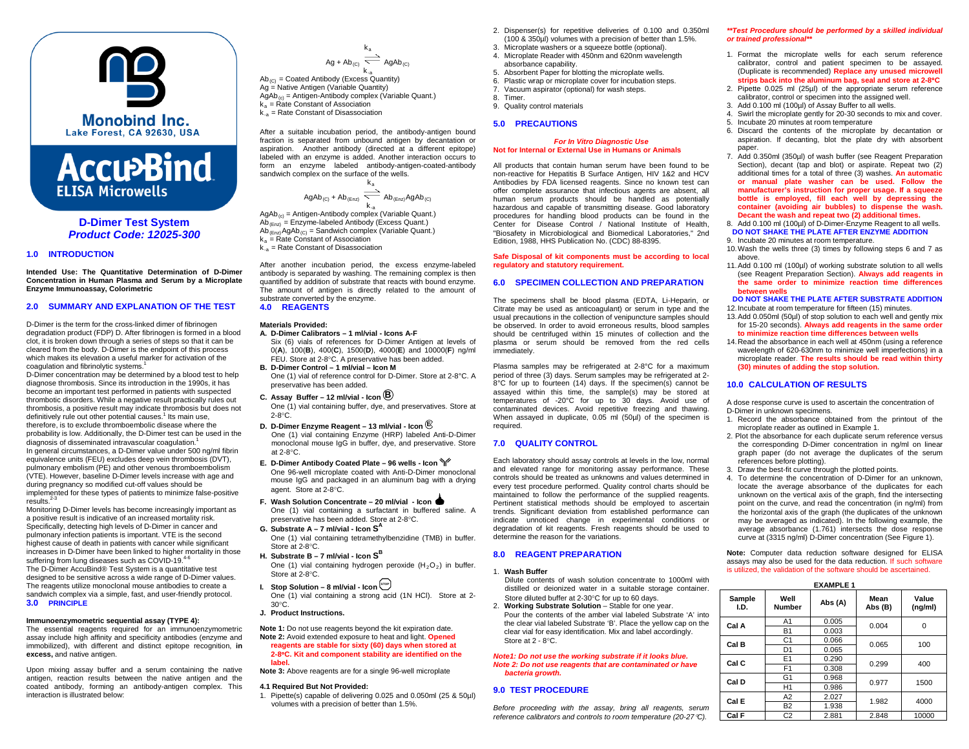

# **Accu<sup>2</sup>Bind ELISA Microwells**

**D-Dimer Test System** *Product Code: 12025-300*

# **1.0 INTRODUCTION**

**Intended Use: The Quantitative Determination of D-Dimer Concentration in Human Plasma and Serum by a Microplate Enzyme Immunoassay, Colorimetric**

### **2.0 SUMMARY AND EXPLANATION OF THE TEST**

D-Dimer is the term for the cross-linked dimer of fibrinogen degradation product (FDP) D. After fibrinogen is formed in a blood clot, it is broken down through a series of steps so that it can be cleared from the body. D-Dimer is the endpoint of this process which makes its elevation a useful marker for activation of the coagulation and fibrinolytic systems.<sup>1</sup>

D-Dimer concentration may be determined by [a blood test](https://en.wikipedia.org/wiki/Blood_test) to help diagnos[e thrombosis.](https://en.wikipedia.org/wiki/Thrombosis) Since its introduction in the 1990s, it has become an important test performed in patients with suspected thrombotic disorders. While a negative result practically rules out thrombosis, a positive result may indicate thrombosis but does not definitively rule out other potential causes.<sup>1</sup> Its main use, therefore, is to exclude thromboembolic disease where the probability is low. Additionally, the D-Dimer test can be used in the diagnosis of [disseminated intravascular coagulation.](https://en.wikipedia.org/wiki/Disseminated_intravascular_coagulation)<sup>1</sup> In general circumstances, a D-Dimer value under 500 ng/ml fibrin equivalence units (FEU) excludes deep vein thrombosis (DVT), pulmonary embolism (PE) and other venous thromboembolism (VTE). However, baseline D-Dimer levels increase with age and during pregnancy so modified cut-off values should be implemented for these types of patients to minimize false-positive  $results<sup>2-3</sup>$ 

Monitoring D-Dimer levels has become increasingly important as a positive result is indicative of an increased mortality risk. Specifically, detecting high levels of D-Dimer in cancer and pulmonary infection patients is important. VTE is the second highest cause of death in patients with cancer while significant increases in D-Dimer have been linked to higher mortality in those suffering from lung diseases such a[s COVID-19.](https://en.wikipedia.org/wiki/COVID-19)<sup>4-6</sup> The D-Dimer AccuBind® Test System is a quantitative test designed to be sensitive across a wide range of D-Dimer values. The reagents utilize monoclonal mouse antibodies to create a sandwich complex via a simple, fast, and user-friendly protocol. **3.0 PRINCIPLE**

# **Immunoenzymometric sequential assay (TYPE 4):**

The essential reagents required for an immunoenzymometric assay include high affinity and specificity antibodies (enzyme and immobilized), with different and distinct epitope recognition, **in excess,** and native antigen.

Upon mixing assay buffer and a serum containing the native antigen, reaction results between the native antigen and the coated antibody, forming an antibody-antigen complex. This interaction is illustrated below:



k-a Ab(C) = Coated Antibody (Excess Quantity) Ag = Native Antigen (Variable Quantity)  $\overrightarrow{AgAb}_{(c)}$  = Antigen-Antibody complex (Variable Quant.)  $k_a$  = Rate Constant of Association  $k_{-a}$  = Rate Constant of Disassociation

After a suitable incubation period, the antibody-antigen bound fraction is separated from unbound antigen by decantation or aspiration. Another antibody (directed at a different epitope) labeled with an enzyme is added. Another interaction occurs to form an enzyme labeled antibody-antigen-coated-antibody sandwich complex on the surface of the wells.

$$
AgAb_{(C)} + Ab_{(Enz)} \xrightarrow[k]{} Ab_{(Enz)}AgAb_{(C)}
$$

k.<sub>a</sub><br>AgAb<sub>(c)</sub> = Antigen-Antibody complex (Variable Quant.) Ab<sub>(Enz)</sub> = Enzyme-labeled Antibody (Excess Quant.)  $Ab_{(Enz)}$ AgAb<sub>(C)</sub> = Sandwich complex (Variable Quant.)  $k_a$  = Rate Constant of Association  $k_{a}$  = Rate Constant of Disassociation

After another incubation period, the excess enzyme-labeled antibody is separated by washing. The remaining complex is then quantified by addition of substrate that reacts with bound enzyme. The amount of antigen is directly related to the amount of substrate converted by the enzyme.

**4.0 REAGENTS** 

#### **Materials Provided: A. D-Dimer Calibrators – 1 ml/vial - Icons A-F**

- Six (6) vials of references for D-Dimer Antigen at levels of
- 0(**A**), 100(**B**), 400(**C**), 1500(**D**), 4000(**E**) and 10000(**F**) ng/ml FEU. Store at 2-8°C. A preservative has been added.
- **B. D-Dimer Control – 1 ml/vial – Icon M** One (1) vial of reference control for D-Dimer. Store at 2-8°C. A preservative has been added.
- **C. Assay Buffer – <sup>12</sup> ml/vial - Icon B**

One (1) vial containing buffer, dye, and preservatives. Store at 2-8°C.

- **D. D-Dimer Enzyme Reagent – 13 ml/vial - Icon <sup>E</sup>** One (1) vial containing Enzyme (HRP) labeled Anti-D-Dimer monoclonal mouse IgG in buffer, dye, and preservative. Store at 2-8°C.
- **E. D-Dimer Antibody Coated Plate – 96 wells - Icon**  One 96-well microplate coated with Anti-D-Dimer monoclonal mouse IgG and packaged in an aluminum bag with a drying agent. Store at 2-8°C.
- **F. Wash Solution Concentrate – 20 ml/vial - Icon**
- One (1) vial containing a surfactant in buffered saline. A preservative has been added. Store at 2-8°C. **G. Substrate A – 7 ml/vial - Icon S<sup>A</sup>**
- One (1) vial containing tetramethylbenzidine (TMB) in buffer. Store at 2-8°C.
- **H.** Substrate  $B 7$  ml/vial Icon  $S^B$

One (1) vial containing hydrogen peroxide  $(H_2O_2)$  in buffer. Store at 2-8°C.

- **I. Stop Solution – 8 ml/vial - Icon STOP**One (1) vial containing a strong acid (1N HCl). Store at 2- 30°C.
- **J. Product Instructions.**

**Note 1:** Do not use reagents beyond the kit expiration date. **Note 2:** Avoid extended exposure to heat and light. **Opened** 

- **reagents are stable for sixty (60) days when stored at 2-8**°**C. Kit and component stability are identified on the label.**
- **Note 3:** Above reagents are for a single 96-well microplate

#### **4.1 Required But Not Provided:**

1. Pipette(s) capable of delivering 0.025 and 0.050ml (25 & 50µl) volumes with a precision of better than 1.5%.

- 2. Dispenser(s) for repetitive deliveries of 0.100 and 0.350ml (100 & 350µl) volumes with a precision of better than 1.5%.
- 3. Microplate washers or a squeeze bottle (optional). 4. Microplate Reader with 450nm and 620nm wavelength
- absorbance capability. 5. Absorbent Paper for blotting the microplate wells.
- 6. Plastic wrap or microplate cover for incubation steps.
- 7. Vacuum aspirator (optional) for wash steps.
- 8. Timer. 9. Quality control materials
- 

# **5.0 PRECAUTIONS**

#### *For In Vitro Diagnostic Use* **Not for Internal or External Use in Humans or Animals**

All products that contain human serum have been found to be non-reactive for Hepatitis B Surface Antigen, HIV 1&2 and HCV Antibodies by FDA licensed reagents. Since no known test can offer complete assurance that infectious agents are absent, all human serum products should be handled as potentially hazardous and capable of transmitting disease. Good laboratory procedures for handling blood products can be found in the Center for Disease Control / National Institute of Health, "Biosafety in Microbiological and Biomedical Laboratories," 2nd Edition, 1988, HHS Publication No. (CDC) 88-8395.

#### **Safe Disposal of kit components must be according to local regulatory and statutory requirement.**

# **6.0 SPECIMEN COLLECTION AND PREPARATION**

The specimens shall be blood plasma (EDTA, Li-Heparin, or Citrate may be used as anticoagulant) or serum in type and the usual precautions in the collection of venipuncture samples should be observed. In order to avoid erroneous results, blood samples should be centrifuged within 15 minutes of collection and the plasma or serum should be removed from the red cells immediately.

Plasma samples may be refrigerated at 2-8°C for a maximum period of three (3) days. Serum samples may be refrigerated at 2- 8°C for up to fourteen (14) days. If the specimen(s) cannot be assayed within this time, the sample(s) may be stored at temperatures of -20°C for up to 30 days. Avoid use of contaminated devices. Avoid repetitive freezing and thawing. When assayed in duplicate, 0.05 ml (50µl) of the specimen is required.

# **7.0 QUALITY CONTROL**

Each laboratory should assay controls at levels in the low, normal and elevated range for monitoring assay performance. These controls should be treated as unknowns and values determined in every test procedure performed. Quality control charts should be maintained to follow the performance of the supplied reagents. Pertinent statistical methods should be employed to ascertain trends. Significant deviation from established performance can indicate unnoticed change in experimental conditions or degradation of kit reagents. Fresh reagents should be used to determine the reason for the variations.

## **8.0 REAGENT PREPARATION**

#### 1. **Wash Buffer**

Dilute contents of wash solution concentrate to 1000ml with distilled or deionized water in a suitable storage container. Store diluted buffer at 2-30°C for up to 60 days.

2. **Working Substrate Solution** – Stable for one year. Pour the contents of the amber vial labeled Substrate 'A' into the clear vial labeled Substrate 'B'. Place the yellow cap on the clear vial for easy identification. Mix and label accordingly. Store at 2 - 8°C.

*Note1: Do not use the working substrate if it looks blue. Note 2: Do not use reagents that are contaminated or have bacteria growth.*

# **9.0 TEST PROCEDURE**

*Before proceeding with the assay, bring all reagents, serum reference calibrators and controls to room temperature (20-27*°*C).*

## *\*\*Test Procedure should be performed by a skilled individual or trained professional\*\**

- 1. Format the microplate wells for each serum reference calibrator, control and patient specimen to be assayed. (Duplicate is recommended) **Replace any unused microwell strips back into the aluminum bag, seal and store at 2-8**°**C**
- 2. Pipette 0.025 ml (25µl) of the appropriate serum reference calibrator, control or specimen into the assigned well.
- 3. Add 0.100 ml (100µl) of Assay Buffer to all wells.
	- 4. Swirl the microplate gently for 20-30 seconds to mix and cover.
	- 5. Incubate 20 minutes at room temperature
	- 6. Discard the contents of the microplate by decantation or aspiration. If decanting, blot the plate dry with absorbent paper.
	- 7. Add 0.350ml (350µl) of wash buffer (see Reagent Preparation Section), decant (tap and blot) or aspirate. Repeat two (2) additional times for a total of three (3) washes. **An automatic or manual plate washer can be used. Follow the manufacturer's instruction for proper usage. If a squeeze bottle is employed, fill each well by depressing the container (avoiding air bubbles) to dispense the wash. Decant the wash and repeat two (2) additional times.**
	- 8. Add 0.100 ml (100µl) of D-Dimer-Enzyme Reagent to all wells. **DO NOT SHAKE THE PLATE AFTER ENZYME ADDITION**
	- 9. Incubate 20 minutes at room temperature.
	- 10.Wash the wells three (3) times by following steps 6 and 7 as above.
	- 11.Add 0.100 ml (100µl) of working substrate solution to all wells (see Reagent Preparation Section). **Always add reagents in the same order to minimize reaction time differences between wells**

# **DO NOT SHAKE THE PLATE AFTER SUBSTRATE ADDITION**

- 12.Incubate at room temperature for fifteen (15) minutes. 13.Add 0.050ml (50µl) of stop solution to each well and gently mix for 15-20 seconds). **Always add reagents in the same order to minimize reaction time differences between wells**
- 14.Read the absorbance in each well at 450nm (using a reference wavelength of 620-630nm to minimize well imperfections) in a microplate reader. **The results should be read within thirty (30) minutes of adding the stop solution.**

## **10.0 CALCULATION OF RESULTS**

A dose response curve is used to ascertain the concentration of D-Dimer in unknown specimens.

- 1. Record the absorbance obtained from the printout of the microplate reader as outlined in Example 1.
- 2. Plot the absorbance for each duplicate serum reference versus the corresponding D-Dimer concentration in ng/ml on linear graph paper (do not average the duplicates of the serum references before plotting).
- 3. Draw the best-fit curve through the plotted points.
- 4. To determine the concentration of D-Dimer for an unknown, locate the average absorbance of the duplicates for each unknown on the vertical axis of the graph, find the intersecting point on the curve, and read the concentration (in ng/ml) from the horizontal axis of the graph (the duplicates of the unknown may be averaged as indicated). In the following example, the average absorbance (1.761) intersects the dose response curve at (3315 ng/ml) D-Dimer concentration (See Figure 1).

**Note:** Computer data reduction software designed for ELISA assays may also be used for the data reduction. If such software is utilized, the validation of the software should be ascertained.

| <b>EXAMPLE 1</b> |                       |         |                 |                  |
|------------------|-----------------------|---------|-----------------|------------------|
| Sample<br>I.D.   | Well<br><b>Number</b> | Abs (A) | Mean<br>Abs (B) | Value<br>(ng/ml) |
| Cal A            | A1                    | 0.005   | 0.004           | 0                |
|                  | <b>B1</b>             | 0.003   |                 |                  |
| Cal B            | C <sub>1</sub>        | 0.066   | 0.065           | 100              |
|                  | D <sub>1</sub>        | 0.065   |                 |                  |
| Cal C            | E <sub>1</sub>        | 0.290   | 0.299           | 400              |
|                  | F <sub>1</sub>        | 0.308   |                 |                  |
| Cal D            | G <sub>1</sub>        | 0.968   | 0.977           | 1500             |
|                  | H1                    | 0.986   |                 |                  |
| Cal E            | A2                    | 2.027   | 1.982           | 4000             |
|                  | <b>B2</b>             | 1.938   |                 |                  |
| Cal F            | C <sub>2</sub>        | 2.881   | 2.848           | 10000            |